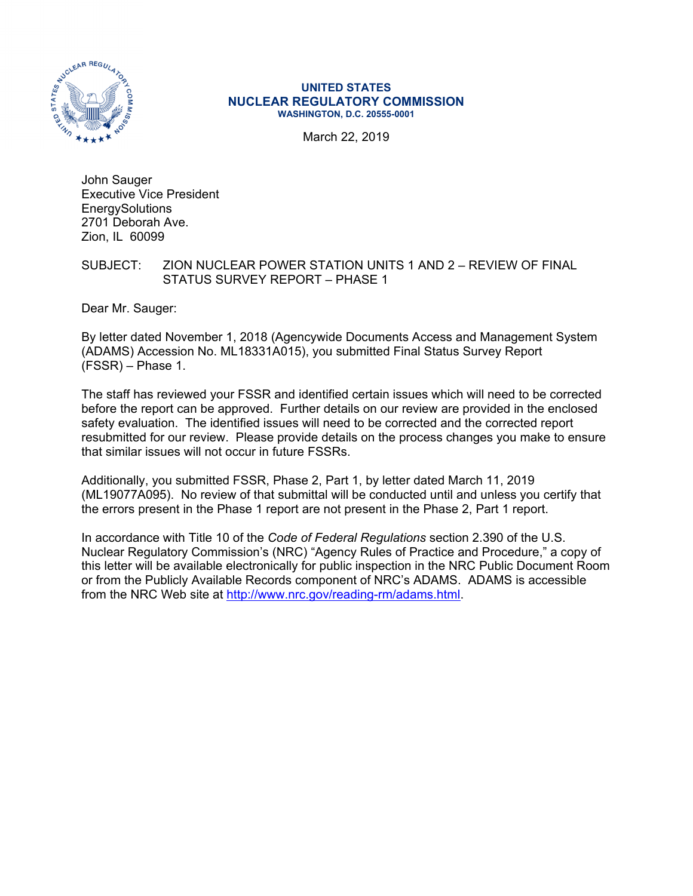

#### **UNITED STATES NUCLEAR REGULATORY COMMISSION WASHINGTON, D.C. 20555-0001**

March 22, 2019

John Sauger Executive Vice President **EnergySolutions** 2701 Deborah Ave. Zion, IL 60099

## SUBJECT: ZION NUCLEAR POWER STATION UNITS 1 AND 2 – REVIEW OF FINAL STATUS SURVEY REPORT – PHASE 1

Dear Mr. Sauger:

By letter dated November 1, 2018 (Agencywide Documents Access and Management System (ADAMS) Accession No. ML18331A015), you submitted Final Status Survey Report (FSSR) – Phase 1.

The staff has reviewed your FSSR and identified certain issues which will need to be corrected before the report can be approved. Further details on our review are provided in the enclosed safety evaluation. The identified issues will need to be corrected and the corrected report resubmitted for our review. Please provide details on the process changes you make to ensure that similar issues will not occur in future FSSRs.

Additionally, you submitted FSSR, Phase 2, Part 1, by letter dated March 11, 2019 (ML19077A095). No review of that submittal will be conducted until and unless you certify that the errors present in the Phase 1 report are not present in the Phase 2, Part 1 report.

In accordance with Title 10 of the *Code of Federal Regulations* section 2.390 of the U.S. Nuclear Regulatory Commission's (NRC) "Agency Rules of Practice and Procedure," a copy of this letter will be available electronically for public inspection in the NRC Public Document Room or from the Publicly Available Records component of NRC's ADAMS. ADAMS is accessible from the NRC Web site at http://www.nrc.gov/reading-rm/adams.html.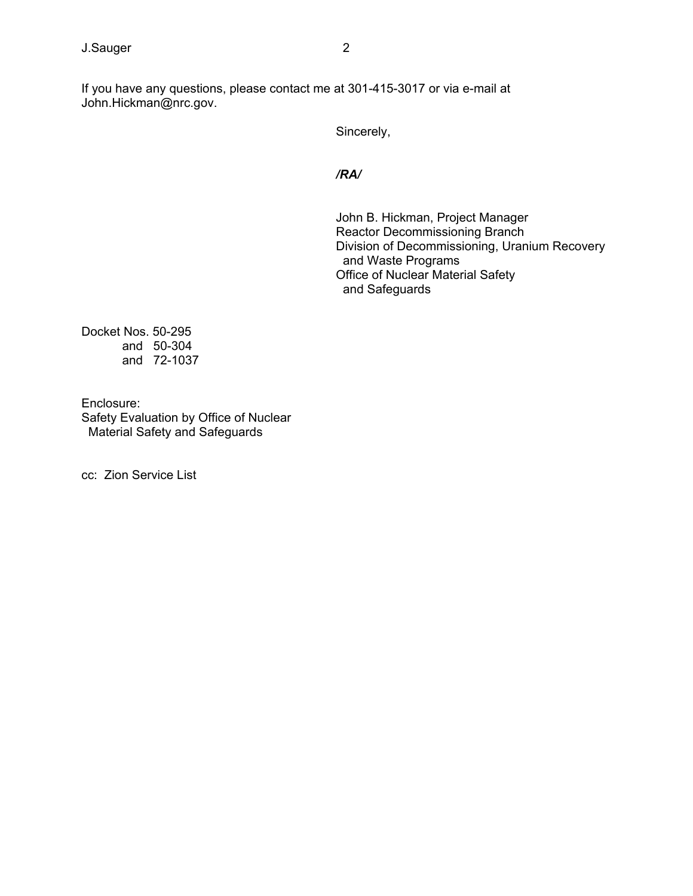If you have any questions, please contact me at 301-415-3017 or via e-mail at John.Hickman@nrc.gov.

Sincerely,

*/RA/* 

John B. Hickman, Project Manager Reactor Decommissioning Branch Division of Decommissioning, Uranium Recovery and Waste Programs Office of Nuclear Material Safety and Safeguards

Docket Nos. 50-295 and 50-304 and 72-1037

Enclosure: Safety Evaluation by Office of Nuclear Material Safety and Safeguards

cc: Zion Service List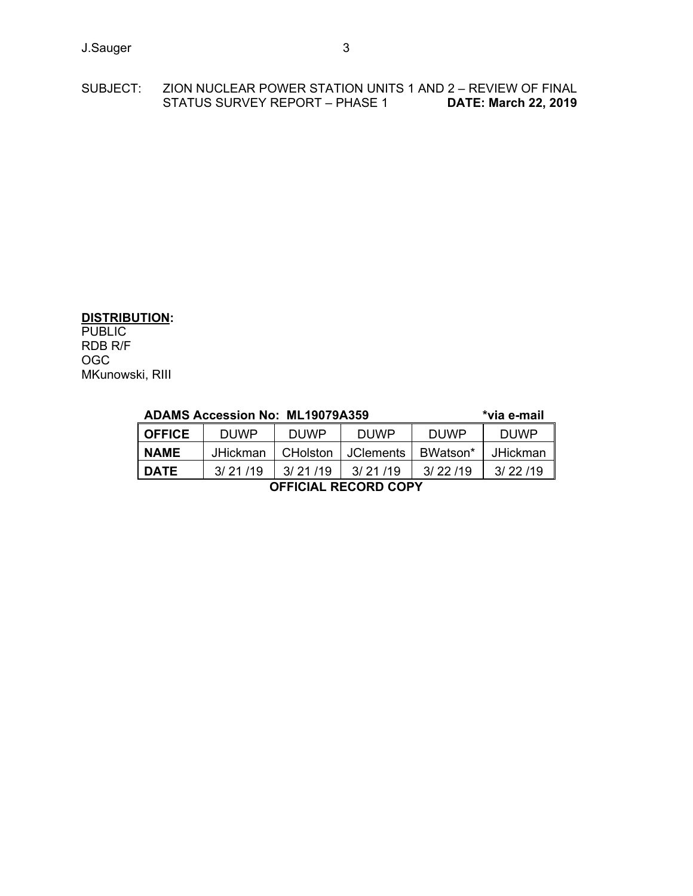## SUBJECT: ZION NUCLEAR POWER STATION UNITS 1 AND 2 – REVIEW OF FINAL STATUS SURVEY REPORT – PHASE 1 **DATE: March 22, 2019**

## **DISTRIBUTION:**

PUBLIC RDB R/F OGC MKunowski, RIII

| <b>ADAMS Accession No: ML19079A359</b> |                 |             |             |             | *via e-mail |
|----------------------------------------|-----------------|-------------|-------------|-------------|-------------|
| <b>OFFICE</b>                          | <b>DUWP</b>     | <b>DUWP</b> | <b>DUWP</b> | <b>DUWP</b> | <b>DUWP</b> |
| <b>NAME</b>                            | <b>JHickman</b> | CHolston    | I JClements | BWatson*    | JHickman    |
| <b>DATE</b>                            | 3/21/19         | 3/21/19     | 3/21/19     | 3/22/19     | 3/22/19     |
| <b>OFFICIAL RECORD COPY</b>            |                 |             |             |             |             |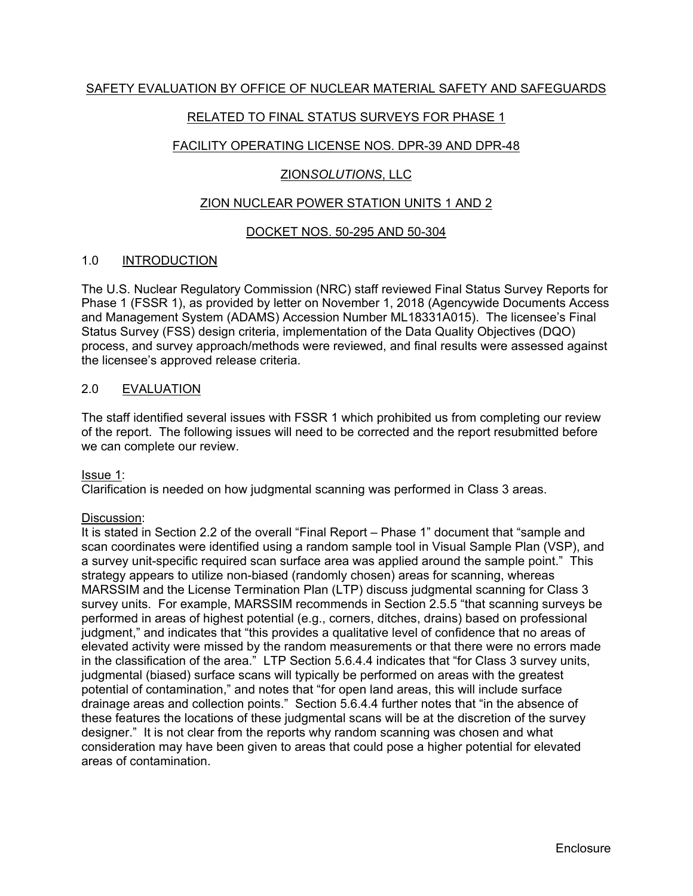# RELATED TO FINAL STATUS SURVEYS FOR PHASE 1

# FACILITY OPERATING LICENSE NOS. DPR-39 AND DPR-48

## ZION*SOLUTIONS*, LLC

## ZION NUCLEAR POWER STATION UNITS 1 AND 2

## DOCKET NOS. 50-295 AND 50-304

## 1.0 INTRODUCTION

The U.S. Nuclear Regulatory Commission (NRC) staff reviewed Final Status Survey Reports for Phase 1 (FSSR 1), as provided by letter on November 1, 2018 (Agencywide Documents Access and Management System (ADAMS) Accession Number ML18331A015). The licensee's Final Status Survey (FSS) design criteria, implementation of the Data Quality Objectives (DQO) process, and survey approach/methods were reviewed, and final results were assessed against the licensee's approved release criteria.

## 2.0 EVALUATION

The staff identified several issues with FSSR 1 which prohibited us from completing our review of the report. The following issues will need to be corrected and the report resubmitted before we can complete our review.

## Issue 1:

Clarification is needed on how judgmental scanning was performed in Class 3 areas.

## Discussion:

It is stated in Section 2.2 of the overall "Final Report – Phase 1" document that "sample and scan coordinates were identified using a random sample tool in Visual Sample Plan (VSP), and a survey unit-specific required scan surface area was applied around the sample point." This strategy appears to utilize non-biased (randomly chosen) areas for scanning, whereas MARSSIM and the License Termination Plan (LTP) discuss judgmental scanning for Class 3 survey units. For example, MARSSIM recommends in Section 2.5.5 "that scanning surveys be performed in areas of highest potential (e.g., corners, ditches, drains) based on professional judgment," and indicates that "this provides a qualitative level of confidence that no areas of elevated activity were missed by the random measurements or that there were no errors made in the classification of the area." LTP Section 5.6.4.4 indicates that "for Class 3 survey units, iudgmental (biased) surface scans will typically be performed on areas with the greatest potential of contamination," and notes that "for open land areas, this will include surface drainage areas and collection points." Section 5.6.4.4 further notes that "in the absence of these features the locations of these judgmental scans will be at the discretion of the survey designer." It is not clear from the reports why random scanning was chosen and what consideration may have been given to areas that could pose a higher potential for elevated areas of contamination.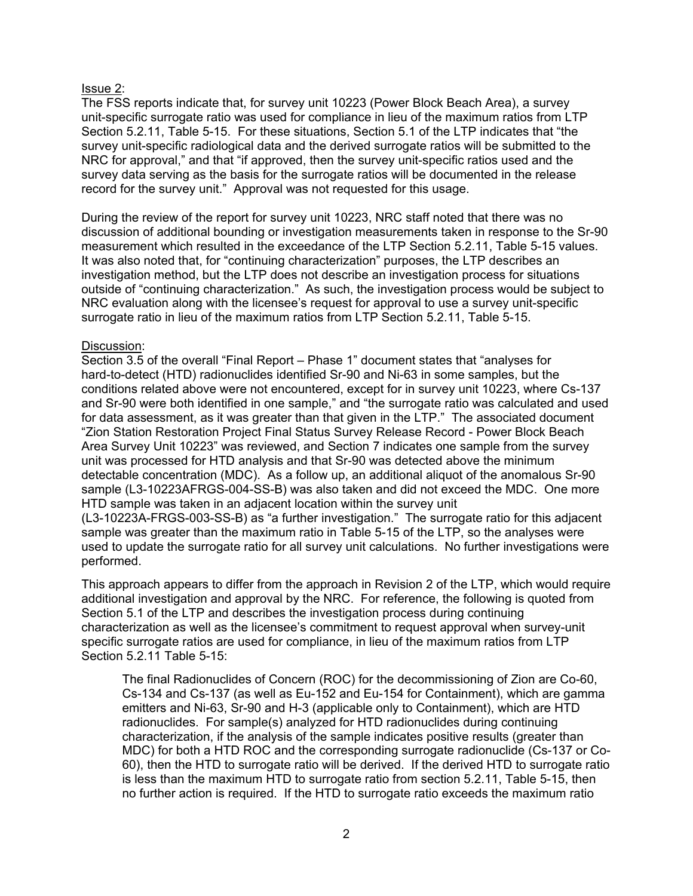## Issue 2:

The FSS reports indicate that, for survey unit 10223 (Power Block Beach Area), a survey unit-specific surrogate ratio was used for compliance in lieu of the maximum ratios from LTP Section 5.2.11, Table 5-15. For these situations, Section 5.1 of the LTP indicates that "the survey unit-specific radiological data and the derived surrogate ratios will be submitted to the NRC for approval," and that "if approved, then the survey unit-specific ratios used and the survey data serving as the basis for the surrogate ratios will be documented in the release record for the survey unit." Approval was not requested for this usage.

During the review of the report for survey unit 10223, NRC staff noted that there was no discussion of additional bounding or investigation measurements taken in response to the Sr-90 measurement which resulted in the exceedance of the LTP Section 5.2.11, Table 5-15 values. It was also noted that, for "continuing characterization" purposes, the LTP describes an investigation method, but the LTP does not describe an investigation process for situations outside of "continuing characterization." As such, the investigation process would be subject to NRC evaluation along with the licensee's request for approval to use a survey unit-specific surrogate ratio in lieu of the maximum ratios from LTP Section 5.2.11, Table 5-15.

## Discussion:

Section 3.5 of the overall "Final Report – Phase 1" document states that "analyses for hard-to-detect (HTD) radionuclides identified Sr-90 and Ni-63 in some samples, but the conditions related above were not encountered, except for in survey unit 10223, where Cs-137 and Sr-90 were both identified in one sample," and "the surrogate ratio was calculated and used for data assessment, as it was greater than that given in the LTP." The associated document "Zion Station Restoration Project Final Status Survey Release Record - Power Block Beach Area Survey Unit 10223" was reviewed, and Section 7 indicates one sample from the survey unit was processed for HTD analysis and that Sr-90 was detected above the minimum detectable concentration (MDC). As a follow up, an additional aliquot of the anomalous Sr-90 sample (L3-10223AFRGS-004-SS-B) was also taken and did not exceed the MDC. One more HTD sample was taken in an adjacent location within the survey unit (L3-10223A-FRGS-003-SS-B) as "a further investigation." The surrogate ratio for this adjacent sample was greater than the maximum ratio in Table 5-15 of the LTP, so the analyses were

used to update the surrogate ratio for all survey unit calculations. No further investigations were performed.

This approach appears to differ from the approach in Revision 2 of the LTP, which would require additional investigation and approval by the NRC. For reference, the following is quoted from Section 5.1 of the LTP and describes the investigation process during continuing characterization as well as the licensee's commitment to request approval when survey-unit specific surrogate ratios are used for compliance, in lieu of the maximum ratios from LTP Section 5.2.11 Table 5-15:

The final Radionuclides of Concern (ROC) for the decommissioning of Zion are Co-60, Cs-134 and Cs-137 (as well as Eu-152 and Eu-154 for Containment), which are gamma emitters and Ni-63, Sr-90 and H-3 (applicable only to Containment), which are HTD radionuclides. For sample(s) analyzed for HTD radionuclides during continuing characterization, if the analysis of the sample indicates positive results (greater than MDC) for both a HTD ROC and the corresponding surrogate radionuclide (Cs-137 or Co-60), then the HTD to surrogate ratio will be derived. If the derived HTD to surrogate ratio is less than the maximum HTD to surrogate ratio from section 5.2.11, Table 5-15, then no further action is required. If the HTD to surrogate ratio exceeds the maximum ratio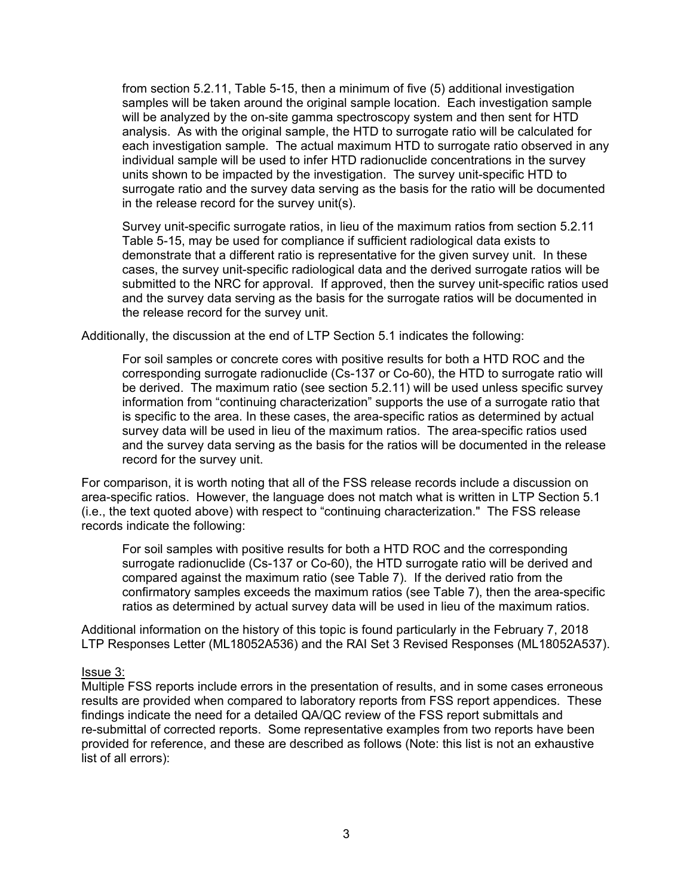from section 5.2.11, Table 5-15, then a minimum of five (5) additional investigation samples will be taken around the original sample location. Each investigation sample will be analyzed by the on-site gamma spectroscopy system and then sent for HTD analysis. As with the original sample, the HTD to surrogate ratio will be calculated for each investigation sample. The actual maximum HTD to surrogate ratio observed in any individual sample will be used to infer HTD radionuclide concentrations in the survey units shown to be impacted by the investigation. The survey unit-specific HTD to surrogate ratio and the survey data serving as the basis for the ratio will be documented in the release record for the survey unit(s).

Survey unit-specific surrogate ratios, in lieu of the maximum ratios from section 5.2.11 Table 5-15, may be used for compliance if sufficient radiological data exists to demonstrate that a different ratio is representative for the given survey unit. In these cases, the survey unit-specific radiological data and the derived surrogate ratios will be submitted to the NRC for approval. If approved, then the survey unit-specific ratios used and the survey data serving as the basis for the surrogate ratios will be documented in the release record for the survey unit.

Additionally, the discussion at the end of LTP Section 5.1 indicates the following:

For soil samples or concrete cores with positive results for both a HTD ROC and the corresponding surrogate radionuclide (Cs-137 or Co-60), the HTD to surrogate ratio will be derived. The maximum ratio (see section 5.2.11) will be used unless specific survey information from "continuing characterization" supports the use of a surrogate ratio that is specific to the area. In these cases, the area-specific ratios as determined by actual survey data will be used in lieu of the maximum ratios. The area-specific ratios used and the survey data serving as the basis for the ratios will be documented in the release record for the survey unit.

For comparison, it is worth noting that all of the FSS release records include a discussion on area-specific ratios. However, the language does not match what is written in LTP Section 5.1 (i.e., the text quoted above) with respect to "continuing characterization." The FSS release records indicate the following:

For soil samples with positive results for both a HTD ROC and the corresponding surrogate radionuclide (Cs-137 or Co-60), the HTD surrogate ratio will be derived and compared against the maximum ratio (see Table 7). If the derived ratio from the confirmatory samples exceeds the maximum ratios (see Table 7), then the area-specific ratios as determined by actual survey data will be used in lieu of the maximum ratios.

Additional information on the history of this topic is found particularly in the February 7, 2018 LTP Responses Letter (ML18052A536) and the RAI Set 3 Revised Responses (ML18052A537).

## Issue 3:

Multiple FSS reports include errors in the presentation of results, and in some cases erroneous results are provided when compared to laboratory reports from FSS report appendices. These findings indicate the need for a detailed QA/QC review of the FSS report submittals and re-submittal of corrected reports. Some representative examples from two reports have been provided for reference, and these are described as follows (Note: this list is not an exhaustive list of all errors):